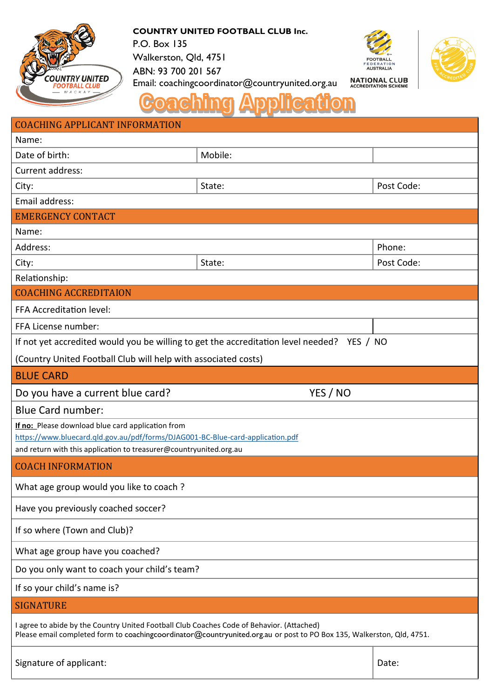

**COUNTRY UNITED FOOTBALL CLUB Inc.** P.O. Box 135

Walkerston, Qld, 4751





ABN: 93 700 201 567 **NATIONAL CLUB**<br>ACCREDITATION SCHEME Email: coachingcoordinator@countryunited.org.au

| <b>COACHING APPLICANT INFORMATION</b>                                                                                                                                                                              |         |            |
|--------------------------------------------------------------------------------------------------------------------------------------------------------------------------------------------------------------------|---------|------------|
| Name:                                                                                                                                                                                                              |         |            |
| Date of birth:                                                                                                                                                                                                     | Mobile: |            |
| Current address:                                                                                                                                                                                                   |         |            |
| City:                                                                                                                                                                                                              | State:  | Post Code: |
| Email address:                                                                                                                                                                                                     |         |            |
| <b>EMERGENCY CONTACT</b>                                                                                                                                                                                           |         |            |
| Name:                                                                                                                                                                                                              |         |            |
| Address:                                                                                                                                                                                                           |         | Phone:     |
| City:                                                                                                                                                                                                              | State:  | Post Code: |
| Relationship:                                                                                                                                                                                                      |         |            |
| <b>COACHING ACCREDITAION</b>                                                                                                                                                                                       |         |            |
| FFA Accreditation level:                                                                                                                                                                                           |         |            |
| FFA License number:                                                                                                                                                                                                |         |            |
| If not yet accredited would you be willing to get the accreditation level needed? YES / NO                                                                                                                         |         |            |
| (Country United Football Club will help with associated costs)                                                                                                                                                     |         |            |
| <b>BLUE CARD</b>                                                                                                                                                                                                   |         |            |
| YES / NO<br>Do you have a current blue card?                                                                                                                                                                       |         |            |
| <b>Blue Card number:</b>                                                                                                                                                                                           |         |            |
| If no: Please download blue card application from                                                                                                                                                                  |         |            |
| https://www.bluecard.qld.gov.au/pdf/forms/DJAG001-BC-Blue-card-application.pdf                                                                                                                                     |         |            |
| and return with this application to treasurer@countryunited.org.au                                                                                                                                                 |         |            |
| <b>COACH INFORMATION</b>                                                                                                                                                                                           |         |            |
| What age group would you like to coach?                                                                                                                                                                            |         |            |
| Have you previously coached soccer?                                                                                                                                                                                |         |            |
| If so where (Town and Club)?                                                                                                                                                                                       |         |            |
| What age group have you coached?                                                                                                                                                                                   |         |            |
| Do you only want to coach your child's team?                                                                                                                                                                       |         |            |
| If so your child's name is?                                                                                                                                                                                        |         |            |
| <b>SIGNATURE</b>                                                                                                                                                                                                   |         |            |
| I agree to abide by the Country United Football Club Coaches Code of Behavior. (Attached)<br>Please email completed form to coachingcoordinator@countryunited.org.au or post to PO Box 135, Walkerston, Qld, 4751. |         |            |
| Signature of applicant:                                                                                                                                                                                            |         | Date:      |